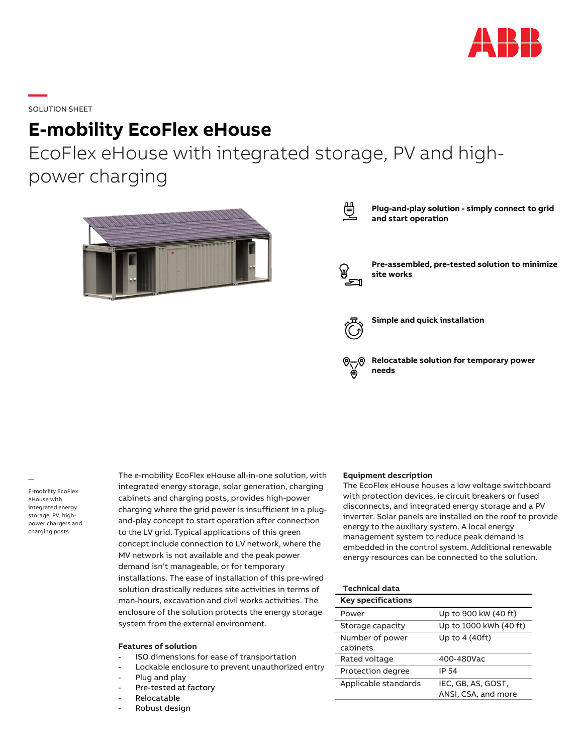

**—**SOLUTION SHEET

# **E-mobility EcoFlex eHouse**

EcoFlex eHouse with integrated storage, PV and highpower charging





**Plug-and-play solution - simply connect to grid and start operation**



**Pre-assembled, pre-tested solution to minimize site works**



**Simple and quick installation**

**Relocatable solution for temporary power needs**

— E-mobility EcoFlex eHouse with integrated energy storage, PV, highpower chargers and charging posts

The e-mobility EcoFlex eHouse all-in-one solution, with integrated energy storage, solar generation, charging cabinets and charging posts, provides high-power charging where the grid power is insufficient in a plugand-play concept to start operation after connection to the LV grid. Typical applications of this green concept include connection to LV network, where the MV network is not available and the peak power demand isn't manageable, or for temporary installations. The ease of installation of this pre-wired solution drastically reduces site activities in terms of man-hours, excavation and civil works activities. The enclosure of the solution protects the energy storage system from the external environment.

#### **Features of solution**

- ISO dimensions for ease of transportation
- Lockable enclosure to prevent unauthorized entry
- Plug and play
- Pre-tested at factory
- Relocatable
- Robust design

#### **Equipment description**

The EcoFlex eHouse houses a low voltage switchboard with protection devices, ie circuit breakers or fused disconnects, and integrated energy storage and a PV inverter. Solar panels are installed on the roof to provide energy to the auxiliary system. A local energy management system to reduce peak demand is embedded in the control system. Additional renewable energy resources can be connected to the solution.

| <b>Technical data</b>     |                        |
|---------------------------|------------------------|
| <b>Key specifications</b> |                        |
| Power                     | Up to 900 kW (40 ft)   |
| Storage capacity          | Up to 1000 kWh (40 ft) |
| Number of power           | Up to 4 (40ft)         |
| cabinets                  |                        |
| Rated voltage             | 400-480Vac             |
| Protection degree         | IP 54                  |
| Applicable standards      | IEC, GB, AS, GOST,     |
|                           | ANSI, CSA, and more    |
|                           |                        |